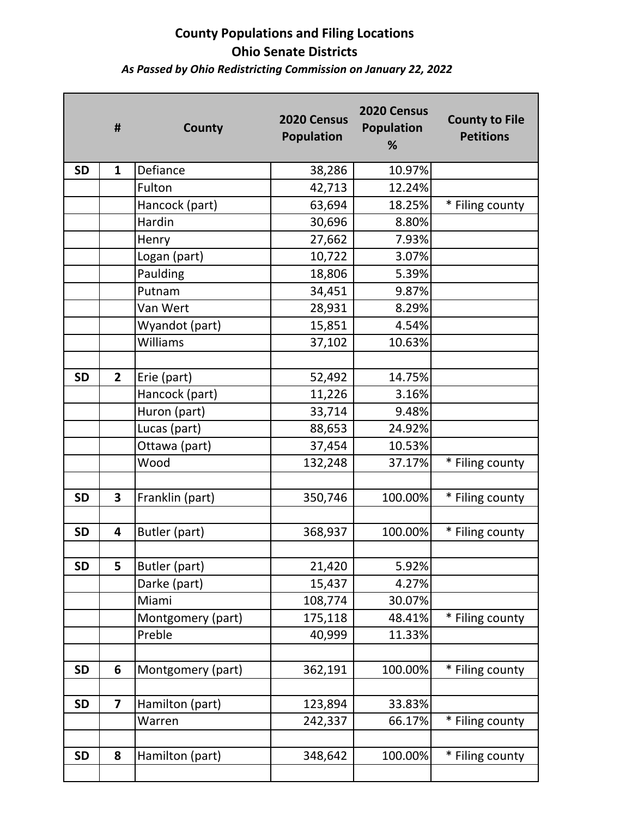# **County Populations and Filing Locations Ohio Senate Districts**

### *As Passed by Ohio Redistricting Commission on January 22, 2022*

|           | #                       | <b>County</b>     | 2020 Census<br><b>Population</b> | 2020 Census<br><b>Population</b><br>% | <b>County to File</b><br><b>Petitions</b> |
|-----------|-------------------------|-------------------|----------------------------------|---------------------------------------|-------------------------------------------|
| <b>SD</b> | $\mathbf{1}$            | Defiance          | 38,286                           | 10.97%                                |                                           |
|           |                         | Fulton            | 42,713                           | 12.24%                                |                                           |
|           |                         | Hancock (part)    | 63,694                           | 18.25%                                | * Filing county                           |
|           |                         | Hardin            | 30,696                           | 8.80%                                 |                                           |
|           |                         | Henry             | 27,662                           | 7.93%                                 |                                           |
|           |                         | Logan (part)      | 10,722                           | 3.07%                                 |                                           |
|           |                         | Paulding          | 18,806                           | 5.39%                                 |                                           |
|           |                         | Putnam            | 34,451                           | 9.87%                                 |                                           |
|           |                         | Van Wert          | 28,931                           | 8.29%                                 |                                           |
|           |                         | Wyandot (part)    | 15,851                           | 4.54%                                 |                                           |
|           |                         | Williams          | 37,102                           | 10.63%                                |                                           |
|           |                         |                   |                                  |                                       |                                           |
| <b>SD</b> | $\mathbf{2}$            | Erie (part)       | 52,492                           | 14.75%                                |                                           |
|           |                         | Hancock (part)    | 11,226                           | 3.16%                                 |                                           |
|           |                         | Huron (part)      | 33,714                           | 9.48%                                 |                                           |
|           |                         | Lucas (part)      | 88,653                           | 24.92%                                |                                           |
|           |                         | Ottawa (part)     | 37,454                           | 10.53%                                |                                           |
|           |                         | Wood              | 132,248                          | 37.17%                                | * Filing county                           |
|           |                         |                   |                                  |                                       |                                           |
| <b>SD</b> | 3                       | Franklin (part)   | 350,746                          | 100.00%                               | * Filing county                           |
|           |                         |                   |                                  |                                       |                                           |
| <b>SD</b> | 4                       | Butler (part)     | 368,937                          | 100.00%                               | * Filing county                           |
|           |                         |                   |                                  |                                       |                                           |
| <b>SD</b> | 5                       | Butler (part)     | 21,420                           | 5.92%                                 |                                           |
|           |                         | Darke (part)      | 15,437                           | 4.27%                                 |                                           |
|           |                         | Miami             | 108,774                          | 30.07%                                |                                           |
|           |                         | Montgomery (part) | 175,118                          | 48.41%                                | * Filing county                           |
|           |                         | Preble            | 40,999                           | 11.33%                                |                                           |
|           |                         |                   |                                  |                                       |                                           |
| <b>SD</b> | 6                       | Montgomery (part) | 362,191                          | 100.00%                               | * Filing county                           |
|           |                         |                   |                                  |                                       |                                           |
| <b>SD</b> | $\overline{\mathbf{z}}$ | Hamilton (part)   | 123,894                          | 33.83%                                |                                           |
|           |                         | Warren            | 242,337                          | 66.17%                                | * Filing county                           |
| <b>SD</b> | 8                       |                   | 348,642                          | 100.00%                               |                                           |
|           |                         | Hamilton (part)   |                                  |                                       | * Filing county                           |
|           |                         |                   |                                  |                                       |                                           |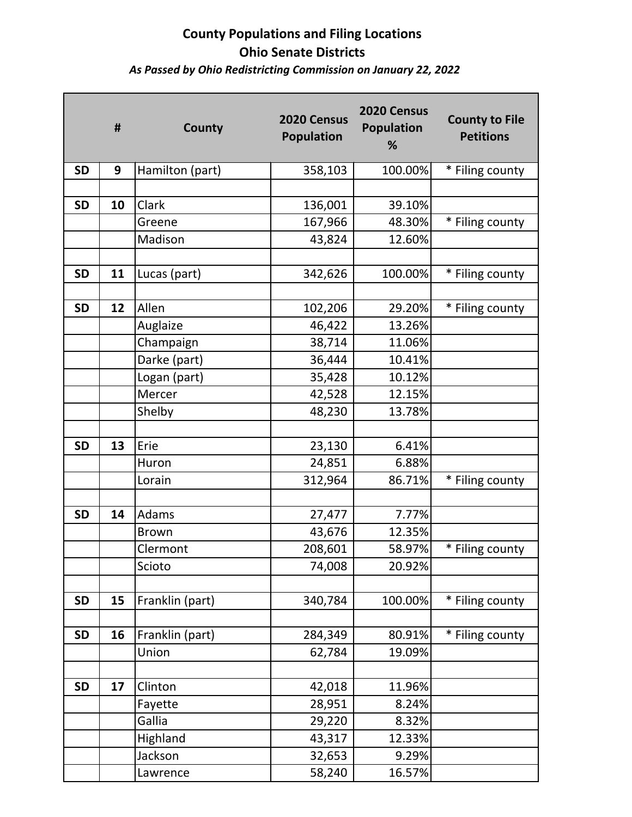## **County Populations and Filing Locations Ohio Senate Districts** *As Passed by Ohio Redistricting Commission on January 22, 2022*

|           | #  | County          | 2020 Census<br><b>Population</b> | 2020 Census<br><b>Population</b><br>% | <b>County to File</b><br><b>Petitions</b> |
|-----------|----|-----------------|----------------------------------|---------------------------------------|-------------------------------------------|
| <b>SD</b> | 9  | Hamilton (part) | 358,103                          | 100.00%                               | * Filing county                           |
|           |    |                 |                                  |                                       |                                           |
| <b>SD</b> | 10 | Clark           | 136,001                          | 39.10%                                |                                           |
|           |    | Greene          | 167,966                          | 48.30%                                | * Filing county                           |
|           |    | Madison         | 43,824                           | 12.60%                                |                                           |
|           |    |                 |                                  |                                       |                                           |
| <b>SD</b> | 11 | Lucas (part)    | 342,626                          | 100.00%                               | * Filing county                           |
|           |    |                 |                                  |                                       |                                           |
| <b>SD</b> | 12 | Allen           | 102,206                          | 29.20%                                | * Filing county                           |
|           |    | Auglaize        | 46,422                           | 13.26%                                |                                           |
|           |    | Champaign       | 38,714                           | 11.06%                                |                                           |
|           |    | Darke (part)    | 36,444                           | 10.41%                                |                                           |
|           |    | Logan (part)    | 35,428                           | 10.12%                                |                                           |
|           |    | Mercer          | 42,528                           | 12.15%                                |                                           |
|           |    | Shelby          | 48,230                           | 13.78%                                |                                           |
|           |    |                 |                                  |                                       |                                           |
| <b>SD</b> | 13 | Erie            | 23,130                           | 6.41%                                 |                                           |
|           |    | Huron           | 24,851                           | 6.88%                                 |                                           |
|           |    | Lorain          | 312,964                          | 86.71%                                | * Filing county                           |
|           |    |                 |                                  |                                       |                                           |
| <b>SD</b> | 14 | Adams           | 27,477                           | 7.77%                                 |                                           |
|           |    | <b>Brown</b>    | 43,676                           | 12.35%                                |                                           |
|           |    | Clermont        | 208,601                          | 58.97%                                | * Filing county                           |
|           |    | Scioto          | 74,008                           | 20.92%                                |                                           |
|           |    |                 |                                  |                                       |                                           |
| <b>SD</b> | 15 | Franklin (part) | 340,784                          | 100.00%                               | * Filing county                           |
|           |    |                 |                                  |                                       |                                           |
| <b>SD</b> | 16 | Franklin (part) | 284,349                          | 80.91%                                | * Filing county                           |
|           |    | Union           | 62,784                           | 19.09%                                |                                           |
|           |    |                 |                                  |                                       |                                           |
| <b>SD</b> | 17 | Clinton         | 42,018                           | 11.96%                                |                                           |
|           |    | Fayette         | 28,951                           | 8.24%                                 |                                           |
|           |    | Gallia          | 29,220                           | 8.32%                                 |                                           |
|           |    | Highland        | 43,317                           | 12.33%                                |                                           |
|           |    | Jackson         | 32,653                           | 9.29%                                 |                                           |
|           |    | Lawrence        | 58,240                           | 16.57%                                |                                           |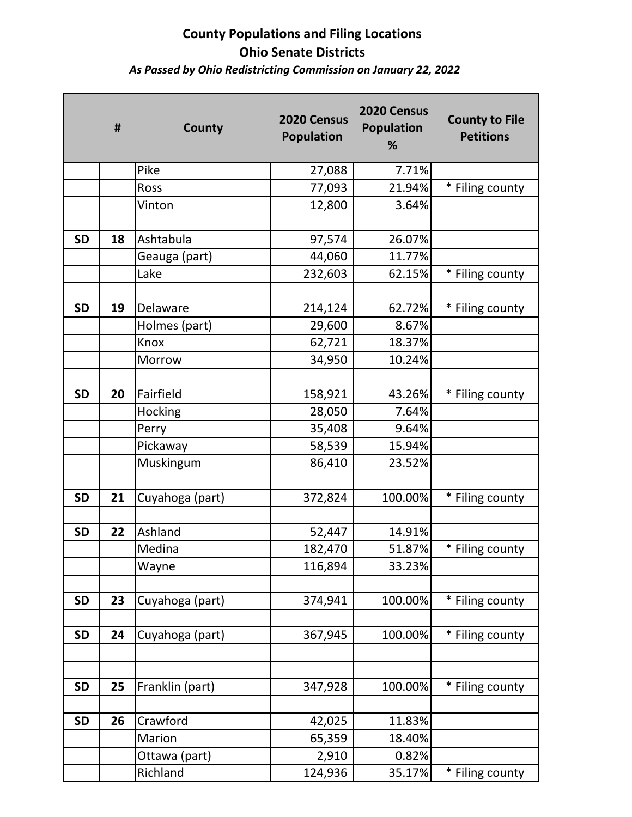## **County Populations and Filing Locations Ohio Senate Districts** *As Passed by Ohio Redistricting Commission on January 22, 2022*

|           | #  | County          | 2020 Census<br><b>Population</b> | 2020 Census<br><b>Population</b><br>% | <b>County to File</b><br><b>Petitions</b> |
|-----------|----|-----------------|----------------------------------|---------------------------------------|-------------------------------------------|
|           |    | Pike            | 27,088                           | 7.71%                                 |                                           |
|           |    | Ross            | 77,093                           | 21.94%                                | * Filing county                           |
|           |    | Vinton          | 12,800                           | 3.64%                                 |                                           |
|           |    |                 |                                  |                                       |                                           |
| <b>SD</b> | 18 | Ashtabula       | 97,574                           | 26.07%                                |                                           |
|           |    | Geauga (part)   | 44,060                           | 11.77%                                |                                           |
|           |    | Lake            | 232,603                          | 62.15%                                | * Filing county                           |
|           |    |                 |                                  |                                       |                                           |
| <b>SD</b> | 19 | Delaware        | 214,124                          | 62.72%                                | * Filing county                           |
|           |    | Holmes (part)   | 29,600                           | 8.67%                                 |                                           |
|           |    | Knox            | 62,721                           | 18.37%                                |                                           |
|           |    | Morrow          | 34,950                           | 10.24%                                |                                           |
|           |    |                 |                                  |                                       |                                           |
| <b>SD</b> | 20 | Fairfield       | 158,921                          | 43.26%                                | * Filing county                           |
|           |    | Hocking         | 28,050                           | 7.64%                                 |                                           |
|           |    | Perry           | 35,408                           | 9.64%                                 |                                           |
|           |    | Pickaway        | 58,539                           | 15.94%                                |                                           |
|           |    | Muskingum       | 86,410                           | 23.52%                                |                                           |
|           |    |                 |                                  |                                       |                                           |
| <b>SD</b> | 21 | Cuyahoga (part) | 372,824                          | 100.00%                               | * Filing county                           |
|           |    |                 |                                  |                                       |                                           |
| <b>SD</b> | 22 | Ashland         | 52,447                           | 14.91%                                |                                           |
|           |    | Medina          | 182,470                          | 51.87%                                | * Filing county                           |
|           |    | Wayne           | 116,894                          | 33.23%                                |                                           |
|           |    |                 |                                  |                                       |                                           |
| <b>SD</b> | 23 | Cuyahoga (part) | 374,941                          | 100.00%                               | * Filing county                           |
|           |    |                 |                                  |                                       |                                           |
| <b>SD</b> | 24 | Cuyahoga (part) | 367,945                          | 100.00%                               | * Filing county                           |
|           |    |                 |                                  |                                       |                                           |
|           |    |                 |                                  |                                       |                                           |
| <b>SD</b> | 25 | Franklin (part) | 347,928                          | 100.00%                               | * Filing county                           |
|           |    |                 |                                  |                                       |                                           |
| <b>SD</b> | 26 | Crawford        | 42,025                           | 11.83%                                |                                           |
|           |    | Marion          | 65,359                           | 18.40%                                |                                           |
|           |    | Ottawa (part)   | 2,910                            | 0.82%                                 |                                           |
|           |    | Richland        | 124,936                          | 35.17%                                | * Filing county                           |